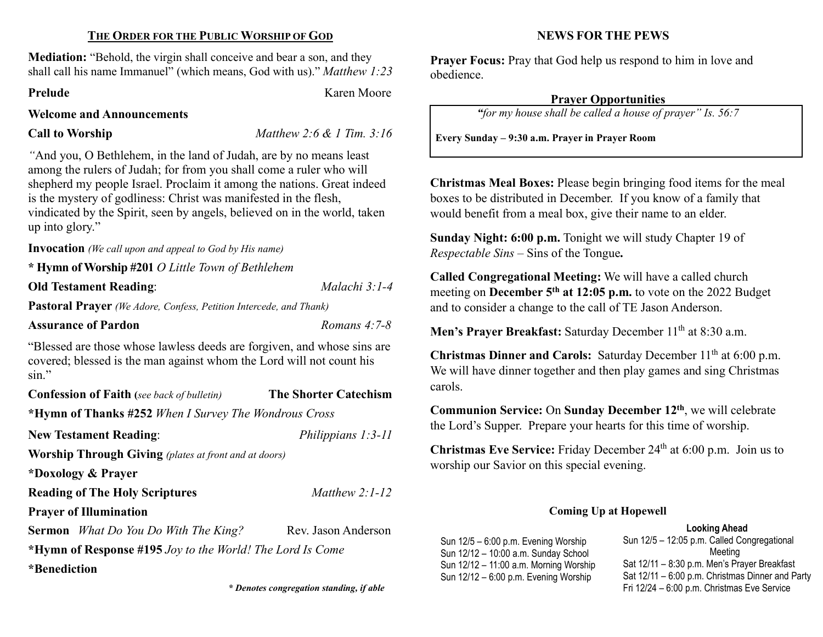#### THE ORDER FOR THE PUBLIC WORSHIP OF GOD

Mediation: "Behold, the virgin shall conceive and bear a son, and they shall call his name Immanuel" (which means, God with us)." Matthew 1:23

Prelude Karen Moore

#### Welcome and Announcements

Call to Worship  $\n *Mathew 2:6 & 1 Tim. 3:16*\n$ 

"And you, O Bethlehem, in the land of Judah, are by no means least among the rulers of Judah; for from you shall come a ruler who will shepherd my people Israel. Proclaim it among the nations. Great indeed is the mystery of godliness: Christ was manifested in the flesh, vindicated by the Spirit, seen by angels, believed on in the world, taken up into glory."

Invocation (We call upon and appeal to God by His name)

\* Hymn of Worship #201 O Little Town of Bethlehem

Old Testament Reading: Malachi 3:1-4

Pastoral Prayer (We Adore, Confess, Petition Intercede, and Thank)

#### Assurance of Pardon Romans 4:7-8

"Blessed are those whose lawless deeds are forgiven, and whose sins are covered; blessed is the man against whom the Lord will not count his sin."

| <b>Confession of Faith</b> (see back of bulletin)            | <b>The Shorter Catechism</b> |  |  |  |
|--------------------------------------------------------------|------------------------------|--|--|--|
| *Hymn of Thanks #252 When I Survey The Wondrous Cross        |                              |  |  |  |
| <b>New Testament Reading:</b>                                | Philippians $1:3-11$         |  |  |  |
| <b>Worship Through Giving</b> (plates at front and at doors) |                              |  |  |  |
| *Doxology & Prayer                                           |                              |  |  |  |
| <b>Reading of The Holy Scriptures</b>                        | Matthew $2:1-12$             |  |  |  |
| <b>Prayer of Illumination</b>                                |                              |  |  |  |
| <b>Sermon</b> What Do You Do With The King?                  | Rev. Jason Anderson          |  |  |  |
| *Hymn of Response #195 Joy to the World! The Lord Is Come    |                              |  |  |  |
| *Benediction                                                 |                              |  |  |  |

\* Denotes congregation standing, if able

### NEWS FOR THE PEWS

Prayer Focus: Pray that God help us respond to him in love and obedience.

#### Prayer Opportunities

"for my house shall be called a house of prayer" Is. 56:7

Every Sunday – 9:30 a.m. Prayer in Prayer Room

Christmas Meal Boxes: Please begin bringing food items for the meal boxes to be distributed in December. If you know of a family that would benefit from a meal box, give their name to an elder.

Sunday Night: 6:00 p.m. Tonight we will study Chapter 19 of Respectable Sins – Sins of the Tongue.

Called Congregational Meeting: We will have a called church meeting on December  $5<sup>th</sup>$  at 12:05 p.m. to vote on the 2022 Budget and to consider a change to the call of TE Jason Anderson.

Men's Prayer Breakfast: Saturday December 11<sup>th</sup> at 8:30 a.m.

Christmas Dinner and Carols: Saturday December  $11<sup>th</sup>$  at 6:00 p.m. We will have dinner together and then play games and sing Christmas carols.

Communion Service: On Sunday December 12th, we will celebrate the Lord's Supper. Prepare your hearts for this time of worship.

Christmas Eve Service: Friday December 24th at 6:00 p.m. Join us to worship our Savior on this special evening.

#### Coming Up at Hopewell

#### Looking Ahead

Sun 12/5 – 6:00 p.m. Evening Worship Sun 12/12 – 10:00 a.m. Sunday School Sun 12/12 – 11:00 a.m. Morning Worship Sun 12/12 – 6:00 p.m. Evening Worship

Sun 12/5 – 12:05 p.m. Called Congregational Meeting Sat 12/11 – 8:30 p.m. Men's Prayer Breakfast Sat 12/11 – 6:00 p.m. Christmas Dinner and Party Fri 12/24 – 6:00 p.m. Christmas Eve Service